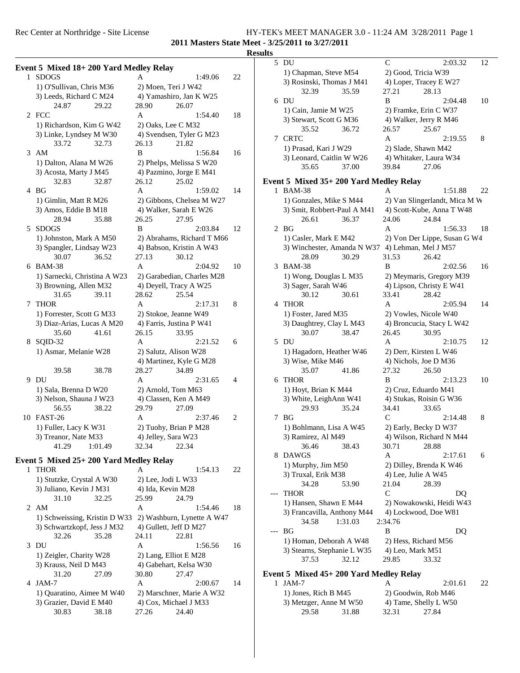### Rec Center at Northridge - Site License HY-TEK's MEET MANAGER 3.0 - 11:24 AM 3/28/2011 Page 1 **2011 Masters State Meet - 3/25/2011 to 3/27/2011**

# $\frac{\text{Results}}{1}$

|   |                                        |                                          |    | Result |
|---|----------------------------------------|------------------------------------------|----|--------|
|   | Event 5 Mixed 18+200 Yard Medley Relay |                                          |    |        |
|   | 1 SDOGS                                | A<br>1:49.06                             | 22 |        |
|   | 1) O'Sullivan, Chris M36               | 2) Moen, Teri J W42                      |    |        |
|   | 3) Leeds, Richard C M24                | 4) Yamashiro, Jan K W25                  |    |        |
|   | 29.22<br>24.87                         | 28.90<br>26.07                           |    |        |
|   | 2 FCC                                  | A<br>1:54.40                             | 18 |        |
|   |                                        |                                          |    |        |
|   | 1) Richardson, Kim G W42               | 2) Oaks, Lee C M32                       |    |        |
|   | 3) Linke, Lyndsey M W30                | 4) Svendsen, Tyler G M23                 |    |        |
|   | 33.72<br>32.73                         | 26.13<br>21.82                           |    |        |
|   | 3 AM                                   | B<br>1:56.84                             | 16 |        |
|   | 1) Dalton, Alana M W26                 | 2) Phelps, Melissa S W20                 |    |        |
|   | 3) Acosta, Marty J M45                 | 4) Pazmino, Jorge E M41                  |    |        |
|   | 32.83<br>32.87                         | 26.12<br>25.02                           |    | E      |
|   | 4 BG                                   | A<br>1:59.02                             | 14 |        |
|   | 1) Gimlin, Matt R M26                  | 2) Gibbons, Chelsea M W27                |    |        |
|   | 3) Amos, Eddie B M18                   | 4) Walker, Sarah E W26                   |    |        |
|   | 28.94<br>35.88                         | 26.25<br>27.95                           |    |        |
| 5 | <b>SDOGS</b>                           | B<br>2:03.84                             | 12 |        |
|   | 1) Johnston, Mark A M50                | 2) Abrahams, Richard T M66               |    |        |
|   | 3) Spangler, Lindsay W23               | 4) Babson, Kristin A W43                 |    |        |
|   | 30.07<br>36.52                         | 27.13<br>30.12                           |    |        |
|   | 6 BAM-38                               | A<br>2:04.92                             | 10 |        |
|   | 1) Sarnecki, Christina A W23           | 2) Garabedian, Charles M28               |    |        |
|   |                                        |                                          |    |        |
|   | 3) Browning, Allen M32                 | 4) Deyell, Tracy A W25                   |    |        |
|   | 31.65<br>39.11                         | 28.62<br>25.54                           |    |        |
| 7 | <b>THOR</b>                            | A<br>2:17.31                             | 8  |        |
|   | 1) Forrester, Scott G M33              | 2) Stokoe, Jeanne W49                    |    |        |
|   | 3) Diaz-Arias, Lucas A M20             | 4) Farris, Justina P W41                 |    |        |
|   | 35.60<br>41.61                         | 26.15<br>33.95                           |    |        |
| 8 | SQID-32                                | A<br>2:21.52                             | 6  |        |
|   | 1) Asmar, Melanie W28                  | 2) Salutz, Alison W28                    |    |        |
|   |                                        | 4) Martinez, Kyle G M28                  |    |        |
|   | 39.58<br>38.78                         | 28.27<br>34.89                           |    |        |
|   | 9 DU                                   | A<br>2:31.65                             | 4  |        |
|   | 1) Sala, Brenna D W20                  | 2) Arnold, Tom M63                       |    |        |
|   | 3) Nelson, Shauna J W23                | 4) Classen, Ken A M49                    |    |        |
|   | 38.22<br>56.55                         | 29.79<br>27.09                           |    |        |
|   | 10 FAST-26                             | A<br>2:37.46                             | 2  |        |
|   | 1) Fuller, Lacy K W31                  | 2) Tuohy, Brian P M28                    |    |        |
|   | 3) Treanor, Nate M33                   | 4) Jelley, Sara W23                      |    |        |
|   | 41.29<br>1:01.49                       | 32.34<br>22.34                           |    |        |
|   |                                        |                                          |    |        |
|   | Event 5 Mixed 25+200 Yard Medley Relay |                                          |    |        |
|   | 1 THOR                                 | A<br>1:54.13                             | 22 |        |
|   | 1) Stutzke, Crystal A W30              | 2) Lee, Jodi L W33                       |    |        |
|   | 3) Juliano, Kevin J M31                | 4) Ida, Kevin M28                        |    |        |
|   | 31.10<br>32.25                         | 25.99<br>24.79                           |    |        |
|   | 2 AM                                   | A<br>1:54.46                             | 18 |        |
|   | 1) Schweissing, Kristin D W33          | 2) Washburn, Lynette A W47               |    |        |
|   | 3) Schwartzkopf, Jess J M32            | 4) Gullett, Jeff D M27                   |    |        |
|   | 32.26<br>35.28                         | 24.11<br>22.81                           |    |        |
|   | 3 DU                                   | A<br>1:56.56                             | 16 |        |
|   | 1) Zeigler, Charity W28                | 2) Lang, Elliot E M28                    |    |        |
|   | 3) Krauss, Neil D M43                  |                                          |    |        |
|   | 31.20                                  | 4) Gabehart, Kelsa W30<br>30.80<br>27.47 |    | E      |
|   | 27.09                                  |                                          |    |        |
| 4 | JAM-7                                  | A<br>2:00.67                             | 14 |        |
|   | 1) Quaratino, Aimee M W40              | 2) Marschner, Marie A W32                |    |        |
|   | 3) Grazier, David E M40                | 4) Cox, Michael J M33                    |    |        |
|   | 30.83<br>38.18                         | 24.40<br>27.26                           |    |        |
|   |                                        |                                          |    |        |

| ᄖᄖ    |                                                  |              |                               |    |
|-------|--------------------------------------------------|--------------|-------------------------------|----|
|       | 5 DU                                             | C            | 2:03.32                       | 12 |
|       | 1) Chapman, Steve M54                            |              | 2) Good, Tricia W39           |    |
|       | 3) Rosinski, Thomas J M41                        |              | 4) Loper, Tracey E W27        |    |
|       | 32.39<br>35.59                                   | 27.21        | 28.13                         |    |
|       | 6 DU                                             | B            | 2:04.48                       | 10 |
|       | 1) Cain, Jamie M W25                             |              | 2) Framke, Erin C W37         |    |
|       | 3) Stewart, Scott G M36                          |              | 4) Walker, Jerry R M46        |    |
|       | 35.52<br>36.72                                   | 26.57        | 25.67                         |    |
|       | 7 CRTC                                           | Α            | 2:19.55                       | 8  |
|       | 1) Prasad, Kari J W29                            |              | 2) Slade, Shawn M42           |    |
|       | 3) Leonard, Caitlin W W26                        |              | 4) Whitaker, Laura W34        |    |
|       | 35.65<br>37.00                                   | 39.84        | 27.06                         |    |
|       |                                                  |              |                               |    |
|       | Event 5 Mixed 35+200 Yard Medley Relay           |              |                               |    |
|       | 1 BAM-38                                         | Α            | 1:51.88                       | 22 |
|       | 1) Gonzales, Mike S M44                          |              | 2) Van Slingerlandt, Mica M W |    |
|       | 3) Smit, Robbert-Paul A M41                      |              | 4) Scott-Kube, Anna T W48     |    |
|       | 26.61<br>36.37                                   | 24.06        | 24.84                         |    |
|       | 2 BG                                             | Α            | 1:56.33                       | 18 |
|       | 1) Casler, Mark E M42                            |              | 2) Von Der Lippe, Susan G W4  |    |
|       | 3) Winchester, Amanda N W37 4) Lehman, Mel J M57 |              |                               |    |
|       | 28.09<br>30.29                                   | 31.53        | 26.42                         |    |
|       | 3 BAM-38                                         | B            | 2:02.56                       | 16 |
|       | 1) Wong, Douglas L M35                           |              | 2) Meymaris, Gregory M39      |    |
|       | 3) Sager, Sarah W46                              |              | 4) Lipson, Christy E W41      |    |
|       | 30.12<br>30.61                                   | 33.41        | 28.42                         |    |
| 4     | <b>THOR</b>                                      | Α            | 2:05.94                       | 14 |
|       | 1) Foster, Jared M35                             |              |                               |    |
|       |                                                  |              | 2) Vowles, Nicole W40         |    |
|       | 3) Daughtrey, Clay L M43                         |              | 4) Broncucia, Stacy L W42     |    |
|       | 30.07<br>38.47                                   | 26.45        | 30.95                         |    |
|       | 5 DU                                             | A            | 2:10.75                       | 12 |
|       | 1) Hagadorn, Heather W46                         |              | 2) Derr, Kirsten L W46        |    |
|       | 3) Wise, Mike M46                                |              | 4) Nichols, Joe D M36         |    |
|       | 35.07<br>41.86                                   | 27.32        | 26.50                         |    |
| 6     | <b>THOR</b>                                      | B            | 2:13.23                       | 10 |
|       | 1) Hoyt, Brian K M44                             |              | 2) Cruz, Eduardo M41          |    |
|       | 3) White, LeighAnn W41                           |              | 4) Stukas, Roisin G W36       |    |
|       | 29.93<br>35.24                                   | 34.41        | 33.65                         |    |
|       | 7 BG                                             | C            | 2:14.48                       | 8  |
|       | 1) Bohlmann, Lisa A W45                          |              | 2) Early, Becky D W37         |    |
|       | 3) Ramirez, Al M49                               |              | 4) Wilson, Richard N M44      |    |
|       | 36.46<br>38.43                                   | 30.71        | 28.88                         |    |
|       | 8 DAWGS                                          | A            | 2:17.61                       | 6  |
|       | 1) Murphy, Jim M50                               |              | 2) Dilley, Brenda K W46       |    |
|       | 3) Truxal, Erik M38                              |              | 4) Lee, Julie A W45           |    |
|       | 34.28<br>53.90                                   | 21.04        | 28.39                         |    |
|       | <b>THOR</b>                                      | $\mathsf{C}$ | DQ                            |    |
|       | 1) Hansen, Shawn E M44                           |              | 2) Nowakowski, Heidi W43      |    |
|       | 3) Francavilla, Anthony M44                      |              | 4) Lockwood, Doe W81          |    |
|       | 1:31.03<br>34.58                                 | 2:34.76      |                               |    |
| $---$ | ΒG                                               | B            | DQ                            |    |
|       | 1) Homan, Deborah A W48                          |              | 2) Hess, Richard M56          |    |
|       | 3) Stearns, Stephanie L W35                      |              |                               |    |
|       | 37.53<br>32.12                                   | 29.85        | 4) Leo, Mark M51              |    |
|       |                                                  |              | 33.32                         |    |
|       | Event 5 Mixed 45+200 Yard Medley Relay           |              |                               |    |
|       | 1 JAM-7                                          | A            | 2:01.61                       | 22 |
|       |                                                  |              |                               |    |

| 2) Goodwin, Rob M46<br>1) Jones, Rich B M45     |  |
|-------------------------------------------------|--|
|                                                 |  |
| 4) Tame, Shelly L W50<br>3) Metzger, Anne M W50 |  |
| 32.31<br>29.58<br>27.84<br>31.88                |  |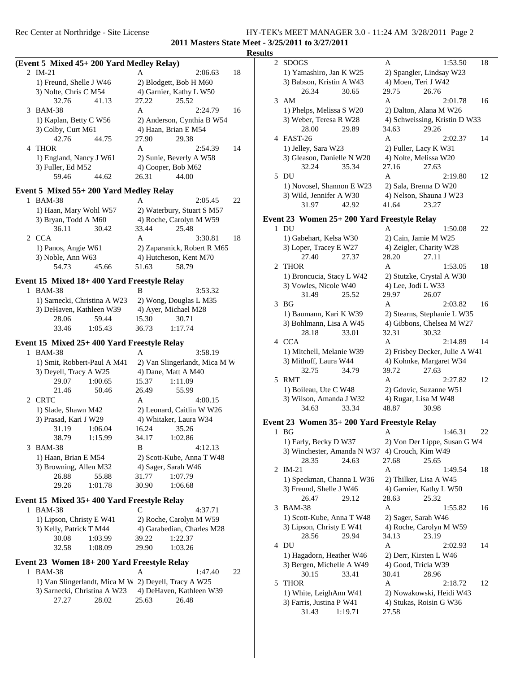### Rec Center at Northridge - Site License HY-TEK's MEET MANAGER 3.0 - 11:24 AM 3/28/2011 Page 2 **2011 Masters State Meet - 3/25/2011 to 3/27/2011**

### **Results**

| (Event 5 Mixed 45+200 Yard Medley Relay)<br>2 IM-21<br>A<br>1) Freund, Shelle J W46<br>2) Blodgett, Bob H M60<br>3) Nolte, Chris C M54<br>4) Garnier, Kathy L W50<br>32.76<br>27.22<br>41.13<br>25.52 |               |                     |
|-------------------------------------------------------------------------------------------------------------------------------------------------------------------------------------------------------|---------------|---------------------|
|                                                                                                                                                                                                       |               | 2 S                 |
|                                                                                                                                                                                                       | 18<br>2:06.63 | $\mathbf{1}$        |
|                                                                                                                                                                                                       |               | 3)                  |
|                                                                                                                                                                                                       |               |                     |
|                                                                                                                                                                                                       |               | 3A                  |
| 3 BAM-38<br>A                                                                                                                                                                                         | 2:24.79<br>16 | $\mathbf{1}$        |
| 1) Kaplan, Betty C W56<br>2) Anderson, Cynthia B W54                                                                                                                                                  |               | 3)                  |
| 3) Colby, Curt M61<br>4) Haan, Brian E M54                                                                                                                                                            |               |                     |
| 42.76<br>44.75<br>27.90<br>29.38                                                                                                                                                                      |               | 4 F.                |
| 4<br><b>THOR</b><br>A                                                                                                                                                                                 | 2:54.39<br>14 | $\mathbf{1}$        |
| 1) England, Nancy J W61<br>2) Sunie, Beverly A W58                                                                                                                                                    |               | 3)                  |
| 3) Fuller, Ed M52<br>4) Cooper, Bob M62                                                                                                                                                               |               |                     |
| 59.46<br>44.62<br>26.31<br>44.00                                                                                                                                                                      |               | 5 D                 |
| Event 5 Mixed 55+200 Yard Medley Relay                                                                                                                                                                |               | $\mathbf{1}$        |
| 1 BAM-38<br>A                                                                                                                                                                                         | 22<br>2:05.45 | 3)                  |
| 1) Haan, Mary Wohl W57<br>2) Waterbury, Stuart S M57                                                                                                                                                  |               |                     |
| 3) Bryan, Todd A M60<br>4) Roche, Carolyn M W59                                                                                                                                                       |               | Event 2             |
| 36.11<br>30.42<br>33.44<br>25.48                                                                                                                                                                      |               | 1 D                 |
| 2 CCA<br>A                                                                                                                                                                                            | 3:30.81<br>18 | $\mathbf{1}$        |
| 1) Panos, Angie W61<br>2) Zaparanick, Robert R M65                                                                                                                                                    |               | 3)                  |
| 3) Noble, Ann W63<br>4) Hutcheson, Kent M70                                                                                                                                                           |               |                     |
| 54.73<br>45.66<br>51.63<br>58.79                                                                                                                                                                      |               | 2T                  |
|                                                                                                                                                                                                       |               | 1                   |
| Event 15 Mixed 18+400 Yard Freestyle Relay                                                                                                                                                            |               | 3)                  |
| 1 BAM-38<br>B                                                                                                                                                                                         | 3:53.32       |                     |
| 1) Sarnecki, Christina A W23<br>2) Wong, Douglas L M35                                                                                                                                                |               | $3 \text{ } B$      |
| 3) DeHaven, Kathleen W39<br>4) Ayer, Michael M28                                                                                                                                                      |               | $\mathbf{1}$        |
| 59.44<br>28.06<br>15.30<br>30.71                                                                                                                                                                      |               | 3)                  |
| 33.46<br>1:05.43<br>36.73<br>1:17.74                                                                                                                                                                  |               |                     |
| Event 15 Mixed 25+400 Yard Freestyle Relay                                                                                                                                                            |               | 4 C                 |
| 1 BAM-38<br>A                                                                                                                                                                                         | 3:58.19       | 1                   |
|                                                                                                                                                                                                       |               |                     |
|                                                                                                                                                                                                       |               | 3)                  |
| 2) Van Slingerlandt, Mica M W<br>1) Smit, Robbert-Paul A M41<br>3) Deyell, Tracy A W25<br>4) Dane, Matt A M40                                                                                         |               |                     |
| 1:00.65<br>29.07<br>15.37<br>1:11.09                                                                                                                                                                  |               | 5 R                 |
| 21.46<br>50.46<br>26.49<br>55.99                                                                                                                                                                      |               | $\mathbf{1}$        |
| 2 CRTC<br>A                                                                                                                                                                                           | 4:00.15       | 3                   |
| 1) Slade, Shawn M42<br>2) Leonard, Caitlin W W26                                                                                                                                                      |               |                     |
| 4) Whitaker, Laura W34<br>3) Prasad, Kari J W29                                                                                                                                                       |               |                     |
| 31.19<br>1:06.04<br>16.24<br>35.26                                                                                                                                                                    |               | Event 2             |
| 38.79<br>1:15.99<br>34.17<br>1:02.86                                                                                                                                                                  |               | B<br>1              |
| 3 BAM-38<br>B                                                                                                                                                                                         | 4:12.13       | $1^{\circ}$         |
| 1) Haan, Brian E M54<br>2) Scott-Kube, Anna T W48                                                                                                                                                     |               | 3)                  |
| 3) Browning, Allen M32<br>4) Sager, Sarah W46                                                                                                                                                         |               |                     |
| 26.88<br>55.88<br>31.77<br>1:07.79                                                                                                                                                                    |               | $2 \text{ } \Gamma$ |
| 29.26<br>1:01.78<br>30.90<br>1:06.68                                                                                                                                                                  |               | $\mathbf{1}$        |
|                                                                                                                                                                                                       |               | 3)                  |
| Event 15 Mixed 35+400 Yard Freestyle Relay                                                                                                                                                            |               | $3 \text{ B}$       |
| 1 BAM-38<br>C                                                                                                                                                                                         | 4:37.71       | $1^{\circ}$         |
| 1) Lipson, Christy E W41<br>2) Roche, Carolyn M W59                                                                                                                                                   |               | 3)                  |
| 3) Kelly, Patrick T M44<br>4) Garabedian, Charles M28<br>30.08<br>1:03.99<br>39.22                                                                                                                    |               |                     |
| 1:22.37<br>32.58<br>29.90<br>1:08.09<br>1:03.26                                                                                                                                                       |               | 4 D                 |
|                                                                                                                                                                                                       |               | $1^{\circ}$         |
|                                                                                                                                                                                                       |               | 3)                  |
| 1 BAM-38<br>A                                                                                                                                                                                         | 22<br>1:47.40 |                     |
| Event 23 Women 18+200 Yard Freestyle Relay<br>1) Van Slingerlandt, Mica M W 2) Deyell, Tracy A W25                                                                                                    |               | 5<br>T              |
| 3) Sarnecki, Christina A W23<br>4) DeHaven, Kathleen W39                                                                                                                                              |               | $\mathbf{1}$        |
| 27.27<br>28.02<br>25.63<br>26.48                                                                                                                                                                      |               | 3)                  |

| 2 | <b>SDOGS</b>                                   | A<br>1:53.50<br>18             |  |
|---|------------------------------------------------|--------------------------------|--|
|   | 1) Yamashiro, Jan K W25                        | 2) Spangler, Lindsay W23       |  |
|   | 3) Babson, Kristin A W43                       | 4) Moen, Teri J W42            |  |
|   | 26.34<br>30.65                                 | 29.75<br>26.76                 |  |
| 3 | AM                                             | Α<br>16<br>2:01.78             |  |
|   |                                                |                                |  |
|   | 1) Phelps, Melissa S W20                       | 2) Dalton, Alana M W26         |  |
|   | 3) Weber, Teresa R W28                         | 4) Schweissing, Kristin D W33  |  |
|   | 28.00<br>29.89                                 | 34.63<br>29.26                 |  |
|   | 4 FAST-26                                      | A<br>2:02.37<br>14             |  |
|   | 1) Jelley, Sara W23                            | 2) Fuller, Lacy K W31          |  |
|   | 3) Gleason, Danielle N W20                     | 4) Nolte, Melissa W20          |  |
|   | 32.24<br>35.34                                 | 27.16<br>27.63                 |  |
| 5 | DU                                             | A<br>2:19.80<br>12             |  |
|   | 1) Novosel, Shannon E W23                      | 2) Sala, Brenna D W20          |  |
|   | 3) Wild, Jennifer A W30                        | 4) Nelson, Shauna J W23        |  |
|   | 31.97<br>42.92                                 | 41.64<br>23.27                 |  |
|   |                                                |                                |  |
|   | Event 23 Women 25+ 200 Yard Freestyle Relay    |                                |  |
|   | 1 DU                                           | А<br>1:50.08<br>22             |  |
|   | 1) Gabehart, Kelsa W30                         | 2) Cain, Jamie M W25           |  |
|   | 3) Loper, Tracey E W27                         | 4) Zeigler, Charity W28        |  |
|   | 27.40<br>27.37                                 | 28.20<br>27.11                 |  |
| 2 | <b>THOR</b>                                    | A<br>18<br>1:53.05             |  |
|   |                                                |                                |  |
|   | 1) Broncucia, Stacy L W42                      | 2) Stutzke, Crystal A W30      |  |
|   | 3) Vowles, Nicole W40                          | 4) Lee, Jodi L W33             |  |
|   | 31.49<br>25.52                                 | 29.97<br>26.07                 |  |
| 3 | <b>BG</b>                                      | A<br>16<br>2:03.82             |  |
|   | 1) Baumann, Kari K W39                         | 2) Stearns, Stephanie L W35    |  |
|   | 3) Bohlmann, Lisa A W45                        | 4) Gibbons, Chelsea M W27      |  |
|   | 28.18<br>33.01                                 | 32.31<br>30.32                 |  |
|   | 4 CCA                                          | A<br>2:14.89<br>14             |  |
|   | 1) Mitchell, Melanie W39                       | 2) Frisbey Decker, Julie A W41 |  |
|   | 3) Mithoff, Laura W44                          | 4) Kohnke, Margaret W34        |  |
|   | 32.75<br>34.79                                 | 39.72<br>27.63                 |  |
| 5 | RMT                                            | A<br>2:27.82<br>12             |  |
|   | 1) Boileau, Ute C W48                          | 2) Gdovic, Suzanne W51         |  |
|   | 3) Wilson, Amanda J W32                        | 4) Rugar, Lisa M W48           |  |
|   | 33.34<br>34.63                                 | 48.87<br>30.98                 |  |
|   |                                                |                                |  |
|   | Event 23 Women 35+ 200 Yard Freestyle Relay    |                                |  |
| 1 | BG                                             | 1:46.31<br>22<br>A             |  |
|   | 1) Early, Becky D W37                          | 2) Von Der Lippe, Susan G W4   |  |
|   | 3) Winchester, Amanda N W37 4) Crouch, Kim W49 |                                |  |
|   | 28.35<br>24.63                                 | 27.68<br>25.65                 |  |
| 2 | $IM-21$                                        | A<br>18<br>1:49.54             |  |
|   | 1) Speckman, Channa L W36                      | 2) Thilker, Lisa A W45         |  |
|   | 3) Freund, Shelle J W46                        | 4) Garnier, Kathy L W50        |  |
|   | 29.12                                          | 28.63<br>25.32                 |  |
|   | 26.47                                          |                                |  |
| 3 | <b>BAM-38</b>                                  | A<br>1:55.82<br>16             |  |
|   | 1) Scott-Kube, Anna T W48                      | 2) Sager, Sarah W46            |  |
|   | 3) Lipson, Christy E W41                       | 4) Roche, Carolyn M W59        |  |
|   | 29.94<br>28.56                                 | 34.13<br>23.19                 |  |
| 4 | DU                                             | Α<br>14<br>2:02.93             |  |
|   | 1) Hagadorn, Heather W46                       | 2) Derr, Kirsten L W46         |  |
|   | 3) Bergen, Michelle A W49                      | 4) Good, Tricia W39            |  |
|   | 30.15<br>33.41                                 | 30.41<br>28.96                 |  |
| 5 | <b>THOR</b>                                    | A<br>12<br>2:18.72             |  |
|   | 1) White, LeighAnn W41                         | 2) Nowakowski, Heidi W43       |  |
|   | 3) Farris, Justina P W41                       | 4) Stukas, Roisin G W36        |  |
|   | 31.43<br>1:19.71                               | 27.58                          |  |
|   |                                                |                                |  |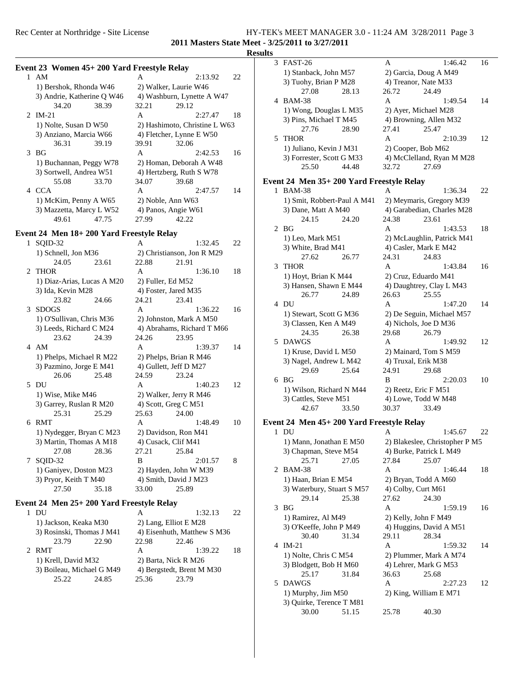## Rec Center at Northridge - Site License HY-TEK's MEET MANAGER 3.0 - 11:24 AM 3/28/2011 Page 3 **2011 Masters State Meet - 3/25/2011 to 3/27/2011**

# Results<br><sup>3</sup>

|   |                                             |                               |    | Result |
|---|---------------------------------------------|-------------------------------|----|--------|
|   | Event 23 Women 45+ 200 Yard Freestyle Relay |                               |    |        |
|   | 1 AM                                        | A<br>2:13.92                  | 22 |        |
|   | 1) Bershok, Rhonda W46                      | 2) Walker, Laurie W46         |    |        |
|   | 3) Andrie, Katherine Q W46                  | 4) Washburn, Lynette A W47    |    |        |
|   | 34.20<br>38.39                              | 32.21<br>29.12                |    |        |
|   | 2 IM-21                                     | A<br>2:27.47                  | 18 |        |
|   | 1) Nolte, Susan D W50                       | 2) Hashimoto, Christine L W63 |    |        |
|   | 3) Anziano, Marcia W66                      | 4) Fletcher, Lynne E W50      |    |        |
|   | 36.31<br>39.19                              | 39.91<br>32.06                |    |        |
|   | 3 <sub>BG</sub>                             | A                             | 16 |        |
|   |                                             | 2:42.53                       |    |        |
|   | 1) Buchannan, Peggy W78                     | 2) Homan, Deborah A W48       |    |        |
|   | 3) Sortwell, Andrea W51                     | 4) Hertzberg, Ruth S W78      |    |        |
|   | 55.08<br>33.70                              | 34.07<br>39.68                |    | E      |
|   | 4 CCA                                       | A<br>2:47.57                  | 14 |        |
|   | 1) McKim, Penny A W65                       | 2) Noble, Ann W63             |    |        |
|   | 3) Mazzetta, Marcy L W52                    | 4) Panos, Angie W61           |    |        |
|   | 49.61<br>47.75                              | 27.99<br>42.22                |    |        |
|   | Event 24 Men 18+200 Yard Freestyle Relay    |                               |    |        |
| 1 | SQID-32                                     | A<br>1:32.45                  | 22 |        |
|   | 1) Schnell, Jon M36                         | 2) Christianson, Jon R M29    |    |        |
|   | 24.05<br>23.61                              | 22.88<br>21.91                |    |        |
| 2 | <b>THOR</b>                                 | A<br>1:36.10                  | 18 |        |
|   | 1) Diaz-Arias, Lucas A M20                  | 2) Fuller, Ed M52             |    |        |
|   | 3) Ida, Kevin M28                           | 4) Foster, Jared M35          |    |        |
|   | 23.82<br>24.66                              | 24.21<br>23.41                |    |        |
| 3 | <b>SDOGS</b>                                | A<br>1:36.22                  | 16 |        |
|   |                                             |                               |    |        |
|   | 1) O'Sullivan, Chris M36                    | 2) Johnston, Mark A M50       |    |        |
|   | 3) Leeds, Richard C M24                     | 4) Abrahams, Richard T M66    |    |        |
|   | 23.62<br>24.39                              | 24.26<br>23.95                |    |        |
|   | 4 AM                                        | A<br>1:39.37                  | 14 |        |
|   | 1) Phelps, Michael R M22                    | 2) Phelps, Brian R M46        |    |        |
|   | 3) Pazmino, Jorge E M41                     | 4) Gullett, Jeff D M27        |    |        |
|   | 26.06<br>25.48                              | 24.59<br>23.24                |    |        |
|   | 5 DU                                        | A<br>1:40.23                  | 12 |        |
|   | 1) Wise, Mike M46                           | 2) Walker, Jerry R M46        |    |        |
|   | 3) Garrey, Ruslan R M20                     | 4) Scott, Greg C M51          |    |        |
|   | 25.31<br>25.29                              | 25.63<br>24.00                |    |        |
|   | 6 RMT                                       | A<br>1:48.49                  | 10 | E      |
|   | 1) Nydegger, Bryan C M23                    | 2) Davidson, Ron M41          |    |        |
|   | 3) Martin, Thomas A M18                     | 4) Cusack, Clif M41           |    |        |
|   | 27.08<br>28.36                              | 27.21<br>25.84                |    |        |
| 7 | SQID-32                                     | B<br>2:01.57                  | 8  |        |
|   | 1) Ganiyev, Doston M23                      | 2) Hayden, John W M39         |    |        |
|   | 3) Pryor, Keith T M40                       | 4) Smith, David J M23         |    |        |
|   | 27.50<br>35.18                              | 33.00<br>25.89                |    |        |
|   | Event 24 Men 25+200 Yard Freestyle Relay    |                               |    |        |
|   | 1 DU                                        | A<br>1:32.13                  | 22 |        |
|   | 1) Jackson, Keaka M30                       | 2) Lang, Elliot E M28         |    |        |
|   | 3) Rosinski, Thomas J M41                   | 4) Eisenhuth, Matthew S M36   |    |        |
|   | 23.79<br>22.90                              | 22.98<br>22.46                |    |        |
| 2 | RMT                                         | A<br>1:39.22                  | 18 |        |
|   |                                             |                               |    |        |
|   | 1) Krell, David M32                         | 2) Barta, Nick R M26          |    |        |
|   | 3) Boileau, Michael G M49                   | 4) Bergstedt, Brent M M30     |    |        |
|   | 25.22<br>24.85                              | 25.36<br>23.79                |    |        |
|   |                                             |                               |    |        |
|   |                                             |                               |    |        |

| lits |   |                                           |                                |    |
|------|---|-------------------------------------------|--------------------------------|----|
|      |   | 3 FAST-26                                 | 1:46.42<br>Α                   | 16 |
|      |   | 1) Stanback, John M57                     | 2) Garcia, Doug A M49          |    |
|      |   | 3) Tuohy, Brian P M28                     | 4) Treanor, Nate M33           |    |
|      |   | 27.08<br>28.13                            | 26.72<br>24.49                 |    |
|      |   | 4 BAM-38                                  | A<br>1:49.54                   | 14 |
|      |   | 1) Wong, Douglas L M35                    | 2) Ayer, Michael M28           |    |
|      |   | 3) Pins, Michael T M45                    | 4) Browning, Allen M32         |    |
|      |   | 27.76<br>28.90                            | 27.41<br>25.47                 |    |
|      |   |                                           |                                |    |
|      | 5 | <b>THOR</b>                               | A<br>2:10.39                   | 12 |
|      |   | 1) Juliano, Kevin J M31                   | 2) Cooper, Bob M62             |    |
|      |   | 3) Forrester, Scott G M33                 | 4) McClelland, Ryan M M28      |    |
|      |   | 25.50<br>44.48                            | 32.72<br>27.69                 |    |
|      |   | Event 24 Men 35+ 200 Yard Freestyle Relay |                                |    |
|      | 1 | <b>BAM-38</b>                             | A<br>1:36.34                   | 22 |
|      |   | 1) Smit, Robbert-Paul A M41               | 2) Meymaris, Gregory M39       |    |
|      |   |                                           |                                |    |
|      |   | 3) Dane, Matt A M40                       | 4) Garabedian, Charles M28     |    |
|      |   | 24.15<br>24.20                            | 24.38<br>23.61                 |    |
|      | 2 | BG                                        | A<br>1:43.53                   | 18 |
|      |   | 1) Leo, Mark M51                          | 2) McLaughlin, Patrick M41     |    |
|      |   | 3) White, Brad M41                        | 4) Casler, Mark E M42          |    |
|      |   | 27.62<br>26.77                            | 24.31<br>24.83                 |    |
|      | 3 | <b>THOR</b>                               | Α<br>1:43.84                   | 16 |
|      |   | 1) Hoyt, Brian K M44                      | 2) Cruz, Eduardo M41           |    |
|      |   | 3) Hansen, Shawn E M44                    | 4) Daughtrey, Clay L M43       |    |
|      |   | 26.77<br>24.89                            | 26.63<br>25.55                 |    |
|      |   |                                           |                                |    |
|      |   | 4 DU                                      | A<br>1:47.20                   | 14 |
|      |   | 1) Stewart, Scott G M36                   | 2) De Seguin, Michael M57      |    |
|      |   | 3) Classen, Ken A M49                     | 4) Nichols, Joe D M36          |    |
|      |   | 24.35<br>26.38                            | 29.68<br>26.79                 |    |
|      | 5 | <b>DAWGS</b>                              | A<br>1:49.92                   | 12 |
|      |   | 1) Kruse, David L M50                     | 2) Mainard, Tom S M59          |    |
|      |   | 3) Nagel, Andrew L M42                    | 4) Truxal, Erik M38            |    |
|      |   | 29.69<br>25.64                            | 24.91<br>29.68                 |    |
|      |   | 6 BG                                      | B<br>2:20.03                   | 10 |
|      |   |                                           |                                |    |
|      |   | 1) Wilson, Richard N M44                  | 2) Reetz, Eric F M51           |    |
|      |   | 3) Cattles, Steve M51                     | 4) Lowe, Todd W M48            |    |
|      |   | 42.67<br>33.50                            | 30.37<br>33.49                 |    |
|      |   | Event 24 Men 45+ 200 Yard Freestyle Relay |                                |    |
|      |   | 1 DU                                      | 1:45.67<br>A                   | 22 |
|      |   | 1) Mann, Jonathan E M50                   | 2) Blakeslee, Christopher P M5 |    |
|      |   | 3) Chapman, Steve M54                     | 4) Burke, Patrick L M49        |    |
|      |   |                                           |                                |    |
|      |   | 25.71<br>27.05                            | 27.84<br>25.07                 |    |
|      | 2 | <b>BAM-38</b>                             | A<br>1:46.44                   | 18 |
|      |   | 1) Haan, Brian E M54                      | 2) Bryan, Todd A M60           |    |
|      |   | 3) Waterbury, Stuart S M57                | 4) Colby, Curt M61             |    |
|      |   | 29.14<br>25.38                            | 27.62<br>24.30                 |    |
|      | 3 | <b>BG</b>                                 | A<br>1:59.19                   | 16 |
|      |   | 1) Ramirez, Al M49                        | 2) Kelly, John F M49           |    |
|      |   | 3) O'Keeffe, John P M49                   | 4) Huggins, David A M51        |    |
|      |   | 30.40<br>31.34                            | 29.11<br>28.34                 |    |
|      |   |                                           |                                |    |
|      | 4 | $IM-21$                                   | A<br>1:59.32                   | 14 |
|      |   | 1) Nolte, Chris C M54                     | 2) Plummer, Mark A M74         |    |
|      |   | 3) Blodgett, Bob H M60                    | 4) Lehrer, Mark G M53          |    |
|      |   | 25.17<br>31.84                            | 36.63<br>25.68                 |    |
|      | 5 | <b>DAWGS</b>                              | A<br>2:27.23                   | 12 |
|      |   | 1) Murphy, Jim M50                        | 2) King, William E M71         |    |
|      |   | 3) Quirke, Terence T M81                  |                                |    |
|      |   | 30.00<br>51.15                            | 25.78<br>40.30                 |    |
|      |   |                                           |                                |    |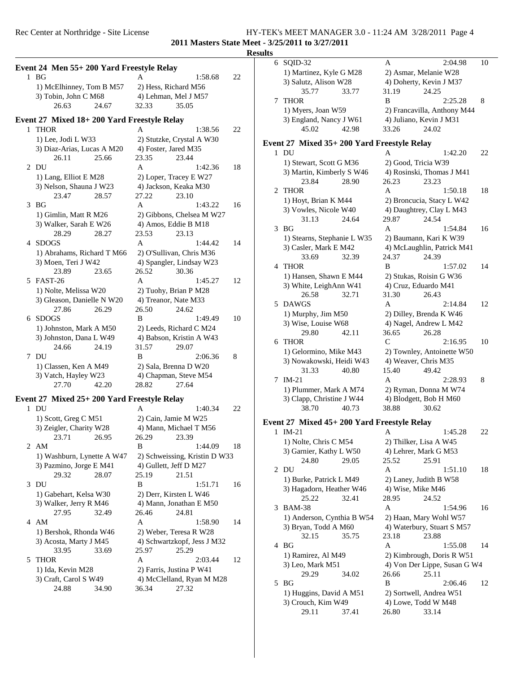## Rec Center at Northridge - Site License HY-TEK's MEET MANAGER 3.0 - 11:24 AM 3/28/2011 Page 4 **2011 Masters State Meet - 3/25/2011 to 3/27/2011**

**Results**

|   |                                            |                               |    | resun |
|---|--------------------------------------------|-------------------------------|----|-------|
|   | Event 24 Men 55+200 Yard Freestyle Relay   |                               |    |       |
|   | $1$ BG                                     | A<br>1:58.68                  | 22 |       |
|   | 1) McElhinney, Tom B M57                   | 2) Hess, Richard M56          |    |       |
|   | 3) Tobin, John C M68                       | 4) Lehman, Mel J M57          |    |       |
|   | 26.63<br>24.67                             | 32.33<br>35.05                |    |       |
|   |                                            |                               |    |       |
|   | Event 27 Mixed 18+200 Yard Freestyle Relay |                               |    |       |
|   | 1 THOR                                     | A<br>1:38.56                  | 22 |       |
|   | 1) Lee, Jodi L W33                         | 2) Stutzke, Crystal A W30     |    | E     |
|   | 3) Diaz-Arias, Lucas A M20                 | 4) Foster, Jared M35          |    |       |
|   | 26.11<br>25.66                             | 23.35<br>23.44                |    |       |
|   | 2 DU                                       | A<br>1:42.36                  | 18 |       |
|   | 1) Lang, Elliot E M28                      | 2) Loper, Tracey E W27        |    |       |
|   | 3) Nelson, Shauna J W23                    | 4) Jackson, Keaka M30         |    |       |
|   | 23.47<br>28.57                             | 27.22<br>23.10                |    |       |
|   | $3$ BG                                     | A<br>1:43.22                  | 16 |       |
|   | 1) Gimlin, Matt R M26                      | 2) Gibbons, Chelsea M W27     |    |       |
|   | 3) Walker, Sarah E W26                     | 4) Amos, Eddie B M18          |    |       |
|   | 28.29<br>28.27                             | 23.53<br>23.13                |    |       |
|   | 4 SDOGS                                    | A<br>1:44.42                  | 14 |       |
|   | 1) Abrahams, Richard T M66                 | 2) O'Sullivan, Chris M36      |    |       |
|   | 3) Moen, Teri J W42                        | 4) Spangler, Lindsay W23      |    |       |
|   | 23.89<br>23.65                             | 26.52<br>30.36                |    |       |
|   | 5 FAST-26                                  | $\mathsf{A}$<br>1:45.27       | 12 |       |
|   | 1) Nolte, Melissa W20                      | 2) Tuohy, Brian P M28         |    |       |
|   | 3) Gleason, Danielle N W20                 | 4) Treanor, Nate M33          |    |       |
|   | 27.86<br>26.29                             | 26.50<br>24.62                |    |       |
| 6 | SDOGS                                      | B<br>1:49.49                  | 10 |       |
|   | 1) Johnston, Mark A M50                    | 2) Leeds, Richard C M24       |    |       |
|   | 3) Johnston, Dana L W49                    | 4) Babson, Kristin A W43      |    |       |
|   | 24.66<br>24.19                             | 31.57<br>29.07                |    |       |
|   | 7 DU                                       | B<br>2:06.36                  | 8  |       |
|   | 1) Classen, Ken A M49                      | 2) Sala, Brenna D W20         |    |       |
|   | 3) Vatch, Hayley W23                       | 4) Chapman, Steve M54         |    |       |
|   | 27.70<br>42.20                             | 28.82<br>27.64                |    |       |
|   | Event 27 Mixed 25+200 Yard Freestyle Relay |                               |    |       |
|   | $1$ DU                                     | A<br>1:40.34                  | 22 |       |
|   | 1) Scott, Greg C M51                       | 2) Cain, Jamie M W25          |    | E     |
|   | 3) Zeigler, Charity W28                    | 4) Mann, Michael T M56        |    |       |
|   | 23.71<br>26.95                             | 26.29<br>23.39                |    |       |
|   | 2 AM                                       | B<br>1:44.09                  | 18 |       |
|   | 1) Washburn, Lynette A W47                 | 2) Schweissing, Kristin D W33 |    |       |
|   | 3) Pazmino, Jorge E M41                    | 4) Gullett, Jeff D M27        |    |       |
|   | 29.32<br>28.07                             | 25.19<br>21.51                |    |       |
|   | 3 DU                                       | B<br>1:51.71                  | 16 |       |
|   | 1) Gabehart, Kelsa W30                     | 2) Derr, Kirsten L W46        |    |       |
|   | 3) Walker, Jerry R M46                     | 4) Mann, Jonathan E M50       |    |       |
|   | 27.95<br>32.49                             | 26.46<br>24.81                |    |       |
|   | 4 AM                                       | A<br>1:58.90                  | 14 |       |
|   | 1) Bershok, Rhonda W46                     | 2) Weber, Teresa R W28        |    |       |
|   | 3) Acosta, Marty J M45                     | 4) Schwartzkopf, Jess J M32   |    |       |
|   | 33.95<br>33.69                             | 25.97<br>25.29                |    |       |
| 5 | <b>THOR</b>                                | A<br>2:03.44                  | 12 |       |
|   | 1) Ida, Kevin M28                          | 2) Farris, Justina P W41      |    |       |
|   | 3) Craft, Carol S W49                      | 4) McClelland, Ryan M M28     |    |       |
|   | 24.88<br>34.90                             | 36.34<br>27.32                |    |       |
|   |                                            |                               |    |       |

|   | 6 SQID-32                                   | A<br>2:04.98                 | 10 |
|---|---------------------------------------------|------------------------------|----|
|   | 1) Martinez, Kyle G M28                     | 2) Asmar, Melanie W28        |    |
|   | 3) Salutz, Alison W28                       | 4) Doherty, Kevin J M37      |    |
|   | 35.77<br>33.77                              | 31.19<br>24.25               |    |
| 7 | <b>THOR</b>                                 | B<br>2:25.28                 | 8  |
|   | 1) Myers, Joan W59                          | 2) Francavilla, Anthony M44  |    |
|   | 3) England, Nancy J W61                     | 4) Juliano, Kevin J M31      |    |
|   | 45.02<br>42.98                              | 33.26<br>24.02               |    |
|   |                                             |                              |    |
|   | Event 27 Mixed 35+ 200 Yard Freestyle Relay |                              |    |
| 1 | DU                                          | 1:42.20<br>А                 | 22 |
|   | 1) Stewart, Scott G M36                     | 2) Good, Tricia W39          |    |
|   | 3) Martin, Kimberly S W46                   | 4) Rosinski, Thomas J M41    |    |
|   | 23.84<br>28.90                              | 26.23<br>23.23               |    |
| 2 | <b>THOR</b>                                 | A<br>1:50.18                 | 18 |
|   | 1) Hoyt, Brian K M44                        | 2) Broncucia, Stacy L W42    |    |
|   | 3) Vowles, Nicole W40                       | 4) Daughtrey, Clay L M43     |    |
|   | 24.64<br>31.13                              | 29.87<br>24.54               |    |
| 3 | BG                                          | A<br>1:54.84                 | 16 |
|   | 1) Stearns, Stephanie L W35                 | 2) Baumann, Kari K W39       |    |
|   | 3) Casler, Mark E M42                       | 4) McLaughlin, Patrick M41   |    |
|   | 32.39<br>33.69                              | 24.37<br>24.39               |    |
| 4 | <b>THOR</b>                                 | B<br>1:57.02                 | 14 |
|   |                                             | 2) Stukas, Roisin G W36      |    |
|   | 1) Hansen, Shawn E M44                      |                              |    |
|   | 3) White, LeighAnn W41                      | 4) Cruz, Eduardo M41         |    |
|   | 26.58<br>32.71                              | 31.30<br>26.43               |    |
| 5 | <b>DAWGS</b>                                | A<br>2:14.84                 | 12 |
|   | 1) Murphy, Jim M50                          | 2) Dilley, Brenda K W46      |    |
|   | 3) Wise, Louise W68                         | 4) Nagel, Andrew L M42       |    |
|   | 29.80<br>42.11                              | 36.65<br>26.28               |    |
| 6 | <b>THOR</b>                                 | C<br>2:16.95                 | 10 |
|   | 1) Gelormino, Mike M43                      | 2) Townley, Antoinette W50   |    |
|   | 3) Nowakowski, Heidi W43                    | 4) Weaver, Chris M35         |    |
|   | 31.33<br>40.80                              | 15.40<br>49.42               |    |
| 7 | $IM-21$                                     | A<br>2:28.93                 | 8  |
|   | 1) Plummer, Mark A M74                      | 2) Ryman, Donna M W74        |    |
|   | 3) Clapp, Christine J W44                   | 4) Blodgett, Bob H M60       |    |
|   | 40.73<br>38.70                              | 38.88<br>30.62               |    |
|   | Event 27 Mixed 45+ 200 Yard Freestyle Relay |                              |    |
| 1 | $IM-21$                                     | 1:45.28<br>A                 | 22 |
|   | 1) Nolte, Chris C M54                       | 2) Thilker, Lisa A W45       |    |
|   | 3) Garnier, Kathy L W50                     | 4) Lehrer, Mark G M53        |    |
|   | 24.80<br>29.05                              | 25.52<br>25.91               |    |
| 2 | DU                                          | A<br>1:51.10                 | 18 |
|   | 1) Burke, Patrick L M49                     | 2) Laney, Judith B W58       |    |
|   | 3) Hagadorn, Heather W46                    | 4) Wise, Mike M46            |    |
|   | 25.22<br>32.41                              | 28.95<br>24.52               |    |
| 3 | <b>BAM-38</b>                               | A<br>1:54.96                 | 16 |
|   | 1) Anderson, Cynthia B W54                  | 2) Haan, Mary Wohl W57       |    |
|   | 3) Bryan, Todd A M60                        | 4) Waterbury, Stuart S M57   |    |
|   | 32.15<br>35.75                              | 23.18<br>23.88               |    |
| 4 | BG                                          | A<br>1:55.08                 | 14 |
|   | 1) Ramirez, Al M49                          | 2) Kimbrough, Doris R W51    |    |
|   | 3) Leo, Mark M51                            | 4) Von Der Lippe, Susan G W4 |    |
|   | 29.29<br>34.02                              | 26.66<br>25.11               |    |
| 5 | BG                                          | B<br>2:06.46                 | 12 |
|   | 1) Huggins, David A M51                     | 2) Sortwell, Andrea W51      |    |
|   |                                             |                              |    |
|   | 3) Crouch, Kim W49                          | 4) Lowe, Todd W M48          |    |
|   | 29.11<br>37.41                              | 26.80<br>33.14               |    |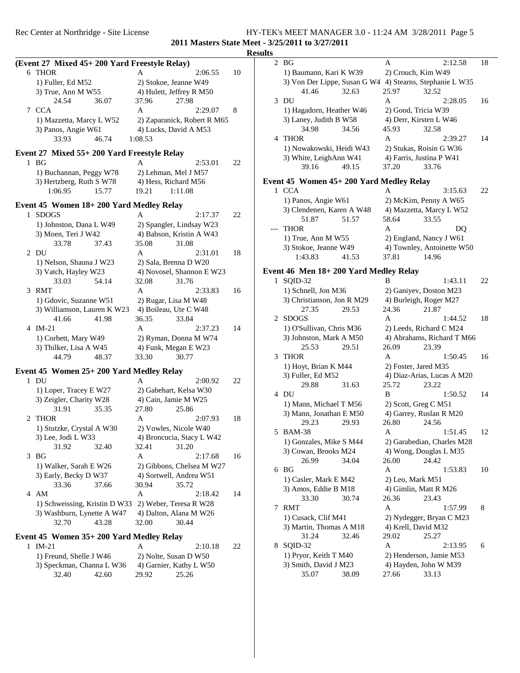### **Results**

|   | (Event 27 Mixed 45+ 200 Yard Freestyle Relay)      |                             |    |   |
|---|----------------------------------------------------|-----------------------------|----|---|
|   | 6 THOR                                             | A<br>2:06.55                | 10 |   |
|   | 1) Fuller, Ed M52                                  | 2) Stokoe, Jeanne W49       |    |   |
|   | 3) True, Ann M W55                                 | 4) Hulett, Jeffrey R M50    |    |   |
|   | 24.54<br>36.07                                     | 37.96<br>27.98              |    |   |
| 7 | <b>CCA</b>                                         | A<br>2:29.07                | 8  |   |
|   | 1) Mazzetta, Marcy L W52                           | 2) Zaparanick, Robert R M65 |    |   |
|   | 3) Panos, Angie W61                                | 4) Lucks, David A M53       |    |   |
|   | 33.93<br>46.74                                     | 1:08.53                     |    |   |
|   |                                                    |                             |    |   |
|   | Event 27 Mixed 55+ 200 Yard Freestyle Relay        |                             |    |   |
|   | $1$ BG                                             | 2:53.01<br>A                | 22 |   |
|   | 1) Buchannan, Peggy W78                            | 2) Lehman, Mel J M57        |    |   |
|   | 3) Hertzberg, Ruth S W78                           | 4) Hess, Richard M56        |    | Е |
|   | 1:06.95<br>15.77                                   | 19.21<br>1:11.08            |    |   |
|   | Event 45 Women 18+200 Yard Medley Relay            |                             |    |   |
| 1 | <b>SDOGS</b>                                       | A<br>2:17.37                | 22 |   |
|   | 1) Johnston, Dana L W49                            | 2) Spangler, Lindsay W23    |    |   |
|   | 3) Moen, Teri J W42                                | 4) Babson, Kristin A W43    |    |   |
|   | 33.78<br>37.43                                     | 35.08<br>31.08              |    |   |
| 2 | DU                                                 | A<br>2:31.01                | 18 |   |
|   | 1) Nelson, Shauna J W23                            | 2) Sala, Brenna D W20       |    |   |
|   | 3) Vatch, Hayley W23                               | 4) Novosel, Shannon E W23   |    | Е |
|   | 33.03<br>54.14                                     | 32.08<br>31.76              |    |   |
| 3 | <b>RMT</b>                                         | A<br>2:33.83                | 16 |   |
|   | 1) Gdovic, Suzanne W51                             | 2) Rugar, Lisa M W48        |    |   |
|   | 3) Williamson, Lauren K W23                        | 4) Boileau, Ute C W48       |    |   |
|   | 41.66<br>41.98                                     | 36.35<br>33.84              |    |   |
| 4 | $IM-21$                                            | A<br>2:37.23                | 14 |   |
|   | 1) Corbett, Mary W49                               | 2) Ryman, Donna M W74       |    |   |
|   | 3) Thilker, Lisa A W45                             | 4) Funk, Megan E W23        |    |   |
|   | 44.79<br>48.37                                     | 33.30<br>30.77              |    |   |
|   |                                                    |                             |    |   |
|   | Event 45 Women 25+ 200 Yard Medley Relay           |                             |    |   |
|   | 1 DU                                               | A<br>2:00.92                | 22 |   |
|   | 1) Loper, Tracey E W27                             | 2) Gabehart, Kelsa W30      |    |   |
|   | 3) Zeigler, Charity W28                            | 4) Cain, Jamie M W25        |    |   |
|   | 31.91<br>35.35                                     | 27.80<br>25.86              |    |   |
| 2 | <b>THOR</b>                                        | A<br>2:07.93                | 18 |   |
|   | 1) Stutzke, Crystal A W30                          | 2) Vowles, Nicole W40       |    |   |
|   | 3) Lee, Jodi L W33                                 | 4) Broncucia, Stacy L W42   |    |   |
|   | 31.92<br>32.40                                     | 32.41<br>31.20              |    |   |
| 3 | BG                                                 | A<br>2:17.68                | 16 |   |
|   | 1) Walker, Sarah E W26                             | 2) Gibbons, Chelsea M W27   |    |   |
|   | 3) Early, Becky D W37                              | 4) Sortwell, Andrea W51     |    |   |
|   | 33.36<br>37.66                                     | 30.94<br>35.72              |    |   |
|   | 4 AM                                               | A<br>2:18.42                | 14 |   |
|   | 1) Schweissing, Kristin D W33                      | 2) Weber, Teresa R W28      |    |   |
|   | 3) Washburn, Lynette A W47                         | 4) Dalton, Alana M W26      |    |   |
|   | 32.70<br>43.28                                     | 32.00<br>30.44              |    |   |
|   |                                                    |                             |    |   |
|   | Event 45 Women 35+200 Yard Medley Relay<br>$IM-21$ |                             |    |   |
| 1 |                                                    | Α<br>2:10.18                | 22 |   |
|   | 1) Freund, Shelle J W46                            | 2) Nolte, Susan D W50       |    |   |

| .                         |       |                       | <u>2.10.10</u>          | ___ |
|---------------------------|-------|-----------------------|-------------------------|-----|
| 1) Freund, Shelle J W46   |       | 2) Nolte, Susan D W50 |                         |     |
| 3) Speckman, Channa L W36 |       |                       | 4) Garnier, Kathy L W50 |     |
| 32.40                     | 42.60 | 29.92                 | 25.26                   |     |

|     | 2 BG                                    | Α                    | 2:12.58                     | 18 |
|-----|-----------------------------------------|----------------------|-----------------------------|----|
|     | 1) Baumann, Kari K W39                  | 2) Crouch, Kim W49   |                             |    |
|     | 3) Von Der Lippe, Susan G W4            |                      | 4) Stearns, Stephanie L W35 |    |
|     | 32.63<br>41.46                          | 25.97                | 32.52                       |    |
| 3   | DU                                      | A                    | 2:28.05                     | 16 |
|     | 1) Hagadorn, Heather W46                | 2) Good, Tricia W39  |                             |    |
|     |                                         |                      |                             |    |
|     | 3) Laney, Judith B W58                  |                      | 4) Derr, Kirsten L W46      |    |
|     | 34.98<br>34.56                          | 45.93                | 32.58                       |    |
| 4   | <b>THOR</b>                             | A                    | 2:39.27                     | 14 |
|     | 1) Nowakowski, Heidi W43                |                      | 2) Stukas, Roisin G W36     |    |
|     | 3) White, LeighAnn W41                  |                      | 4) Farris, Justina P W41    |    |
|     | 39.16<br>49.15                          | 37.20                | 33.76                       |    |
|     | Event 45 Women 45+200 Yard Medley Relay |                      |                             |    |
|     | 1 CCA                                   | A                    | 3:15.63                     | 22 |
|     | 1) Panos, Angie W61                     |                      | 2) McKim, Penny A W65       |    |
|     | 3) Clendenen, Karen A W48               |                      |                             |    |
|     |                                         |                      | 4) Mazzetta, Marcy L W52    |    |
|     | 51.87<br>51.57                          | 58.64                | 33.55                       |    |
| --- | <b>THOR</b>                             | A                    | DQ                          |    |
|     | 1) True, Ann M W55                      |                      | 2) England, Nancy J W61     |    |
|     | 3) Stokoe, Jeanne W49                   |                      | 4) Townley, Antoinette W50  |    |
|     | 1:43.83<br>41.53                        | 37.81                | 14.96                       |    |
|     | Event 46 Men 18+200 Yard Medley Relay   |                      |                             |    |
| 1   | SQID-32                                 | В                    | 1:43.11                     | 22 |
|     | 1) Schnell, Jon M36                     |                      | 2) Ganiyev, Doston M23      |    |
|     | 3) Christianson, Jon R M29              |                      | 4) Burleigh, Roger M27      |    |
|     | 27.35<br>29.53                          | 24.36                | 21.87                       |    |
|     |                                         | A                    |                             | 18 |
|     | 2 SDOGS                                 |                      | 1:44.52                     |    |
|     | 1) O'Sullivan, Chris M36                |                      | 2) Leeds, Richard C M24     |    |
|     | 3) Johnston, Mark A M50                 |                      | 4) Abrahams, Richard T M66  |    |
|     | 25.53<br>29.51                          | 26.09                | 23.39                       |    |
| 3   | <b>THOR</b>                             | A                    | 1:50.45                     | 16 |
|     | 1) Hoyt, Brian K M44                    | 2) Foster, Jared M35 |                             |    |
|     | 3) Fuller, Ed M52                       |                      | 4) Diaz-Arias, Lucas A M20  |    |
|     | 29.88<br>31.63                          | 25.72                | 23.22                       |    |
|     | 4 DU                                    | B                    | 1:50.52                     | 14 |
|     | 1) Mann, Michael T M56                  | 2) Scott, Greg C M51 |                             |    |
|     | 3) Mann, Jonathan E M50                 |                      | 4) Garrey, Ruslan R M20     |    |
|     | 29.23<br>29.93                          | 26.80                | 24.56                       |    |
| 5   | <b>BAM-38</b>                           | Α                    | 1:51.45                     | 12 |
|     | 1) Gonzales, Mike S M44                 |                      | 2) Garabedian, Charles M28  |    |
|     | 3) Cowan, Brooks M24                    |                      | 4) Wong, Douglas L M35      |    |
|     | 26.99<br>34.04                          | 26.00                | 24.42                       |    |
|     | 6 <sub>BG</sub>                         | A                    | 1:53.83                     | 10 |
|     | 1) Casler, Mark E M42                   | 2) Leo, Mark M51     |                             |    |
|     | 3) Amos, Eddie B M18                    |                      | 4) Gimlin, Matt R M26       |    |
|     | 33.30<br>30.74                          | 26.36                | 23.43                       |    |
|     | 7 RMT                                   | A                    | 1:57.99                     | 8  |
|     | 1) Cusack, Clif M41                     |                      | 2) Nydegger, Bryan C M23    |    |
|     | 3) Martin, Thomas A M18                 | 4) Krell, David M32  |                             |    |
|     |                                         |                      |                             |    |
|     | 31.24<br>32.46                          | 29.02                | 25.27                       |    |
| 8   | SQID-32                                 | A                    | 2:13.95                     | 6  |
|     | 1) Pryor, Keith T M40                   |                      | 2) Henderson, Jamie M53     |    |
|     | 3) Smith, David J M23                   |                      | 4) Hayden, John W M39       |    |
|     | 35.07<br>38.09                          | 27.66                | 33.13                       |    |